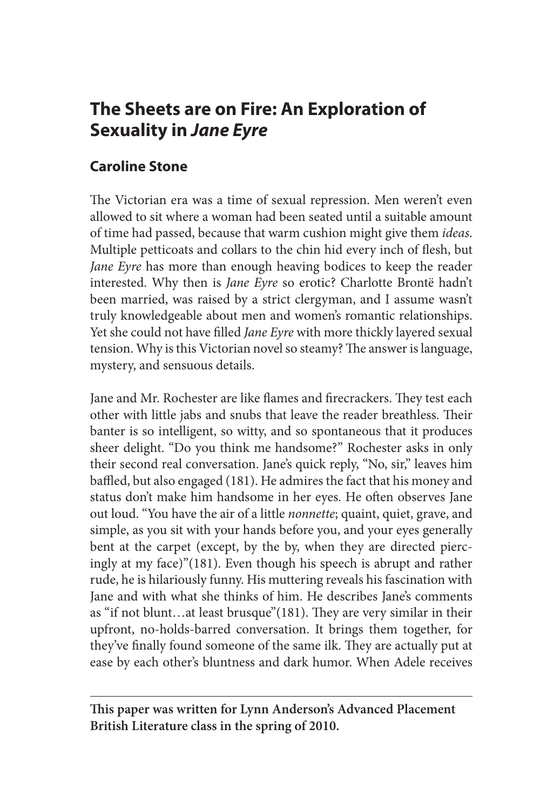# **The Sheets are on Fire: An Exploration of Sexuality in** *Jane Eyre*

## **Caroline Stone**

The Victorian era was a time of sexual repression. Men weren't even allowed to sit where a woman had been seated until a suitable amount of time had passed, because that warm cushion might give them *ideas*. Multiple petticoats and collars to the chin hid every inch of flesh, but *Jane Eyre* has more than enough heaving bodices to keep the reader interested. Why then is *Jane Eyre* so erotic? Charlotte Brontë hadn't been married, was raised by a strict clergyman, and I assume wasn't truly knowledgeable about men and women's romantic relationships. Yet she could not have filled *Jane Eyre* with more thickly layered sexual tension. Why is this Victorian novel so steamy? The answer is language, mystery, and sensuous details.

Jane and Mr. Rochester are like flames and firecrackers. They test each other with little jabs and snubs that leave the reader breathless. Their banter is so intelligent, so witty, and so spontaneous that it produces sheer delight. "Do you think me handsome?" Rochester asks in only their second real conversation. Jane's quick reply, "No, sir," leaves him baffled, but also engaged (181). He admires the fact that his money and status don't make him handsome in her eyes. He often observes Jane out loud. "You have the air of a little *nonnette*; quaint, quiet, grave, and simple, as you sit with your hands before you, and your eyes generally bent at the carpet (except, by the by, when they are directed piercingly at my face)"(181). Even though his speech is abrupt and rather rude, he is hilariously funny. His muttering reveals his fascination with Jane and with what she thinks of him. He describes Jane's comments as "if not blunt…at least brusque"(181). They are very similar in their upfront, no-holds-barred conversation. It brings them together, for they've finally found someone of the same ilk. They are actually put at ease by each other's bluntness and dark humor. When Adele receives

**This paper was written for Lynn Anderson's Advanced Placement British Literature class in the spring of 2010.**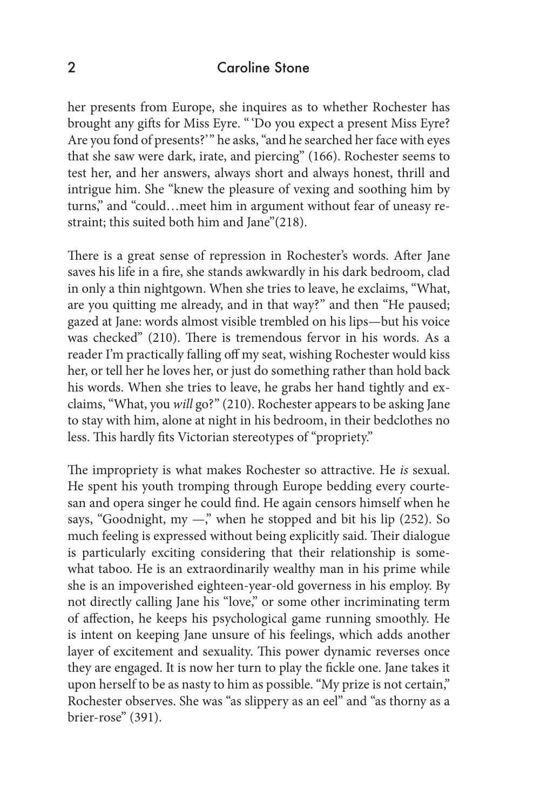### 2 Caroline Stone

her presents from Europe, she inquires as to whether Rochester has brought any gifts for Miss Eyre. " 'Do you expect a present Miss Eyre? Are you fond of presents?" he asks, "and he searched her face with eyes that she saw were dark, irate, and piercing" (166). Rochester seems to test her, and her answers, always short and always honest, thrill and intrigue him. She "knew the pleasure of vexing and soothing him by turns," and "could…meet him in argument without fear of uneasy restraint; this suited both him and Jane"(218).

There is a great sense of repression in Rochester's words. After Jane saves his life in a fire, she stands awkwardly in his dark bedroom, clad in only a thin nightgown. When she tries to leave, he exclaims, "What, are you quitting me already, and in that way?" and then "He paused; gazed at Jane: words almost visible trembled on his lips—but his voice was checked" (210). There is tremendous fervor in his words. As a reader I'm practically falling off my seat, wishing Rochester would kiss her, or tell her he loves her, or just do something rather than hold back his words. When she tries to leave, he grabs her hand tightly and exclaims, "What, you *will* go?" (210). Rochester appears to be asking Jane to stay with him, alone at night in his bedroom, in their bedclothes no less. This hardly fits Victorian stereotypes of "propriety."

The impropriety is what makes Rochester so attractive. He *is* sexual. He spent his youth tromping through Europe bedding every courtesan and opera singer he could find. He again censors himself when he says, "Goodnight, my  $-\frac{1}{2}$ " when he stopped and bit his lip (252). So much feeling is expressed without being explicitly said. Their dialogue is particularly exciting considering that their relationship is somewhat taboo. He is an extraordinarily wealthy man in his prime while she is an impoverished eighteen-year-old governess in his employ. By not directly calling Jane his "love," or some other incriminating term of affection, he keeps his psychological game running smoothly. He is intent on keeping Jane unsure of his feelings, which adds another layer of excitement and sexuality. This power dynamic reverses once they are engaged. It is now her turn to play the fickle one. Jane takes it upon herself to be as nasty to him as possible. "My prize is not certain," Rochester observes. She was "as slippery as an eel" and "as thorny as a brier-rose" (391).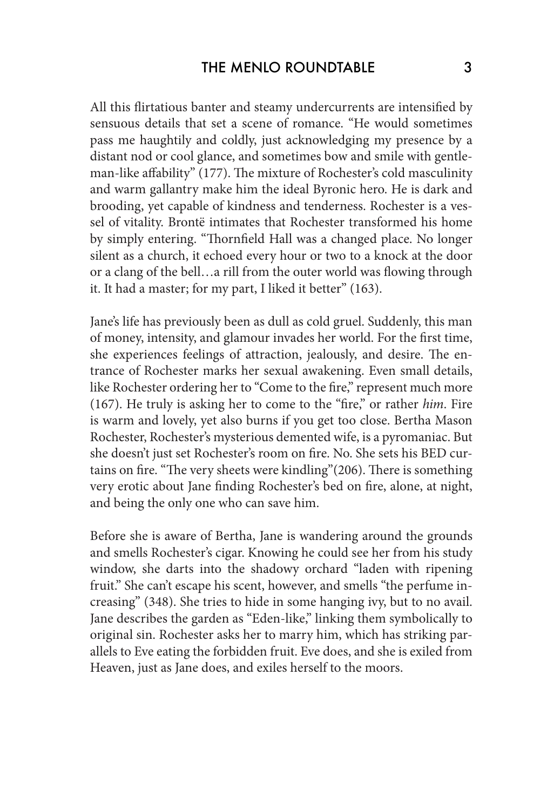All this flirtatious banter and steamy undercurrents are intensified by sensuous details that set a scene of romance. "He would sometimes pass me haughtily and coldly, just acknowledging my presence by a distant nod or cool glance, and sometimes bow and smile with gentleman-like affability" (177). The mixture of Rochester's cold masculinity and warm gallantry make him the ideal Byronic hero. He is dark and brooding, yet capable of kindness and tenderness. Rochester is a vessel of vitality. Brontë intimates that Rochester transformed his home by simply entering. "Thornfield Hall was a changed place. No longer silent as a church, it echoed every hour or two to a knock at the door or a clang of the bell…a rill from the outer world was flowing through it. It had a master; for my part, I liked it better" (163).

Jane's life has previously been as dull as cold gruel. Suddenly, this man of money, intensity, and glamour invades her world. For the first time, she experiences feelings of attraction, jealously, and desire. The entrance of Rochester marks her sexual awakening. Even small details, like Rochester ordering her to "Come to the fire," represent much more (167). He truly is asking her to come to the "fire," or rather *him*. Fire is warm and lovely, yet also burns if you get too close. Bertha Mason Rochester, Rochester's mysterious demented wife, is a pyromaniac. But she doesn't just set Rochester's room on fire. No. She sets his BED curtains on fire. "The very sheets were kindling"(206). There is something very erotic about Jane finding Rochester's bed on fire, alone, at night, and being the only one who can save him.

Before she is aware of Bertha, Jane is wandering around the grounds and smells Rochester's cigar. Knowing he could see her from his study window, she darts into the shadowy orchard "laden with ripening fruit." She can't escape his scent, however, and smells "the perfume increasing" (348). She tries to hide in some hanging ivy, but to no avail. Jane describes the garden as "Eden-like," linking them symbolically to original sin. Rochester asks her to marry him, which has striking parallels to Eve eating the forbidden fruit. Eve does, and she is exiled from Heaven, just as Jane does, and exiles herself to the moors.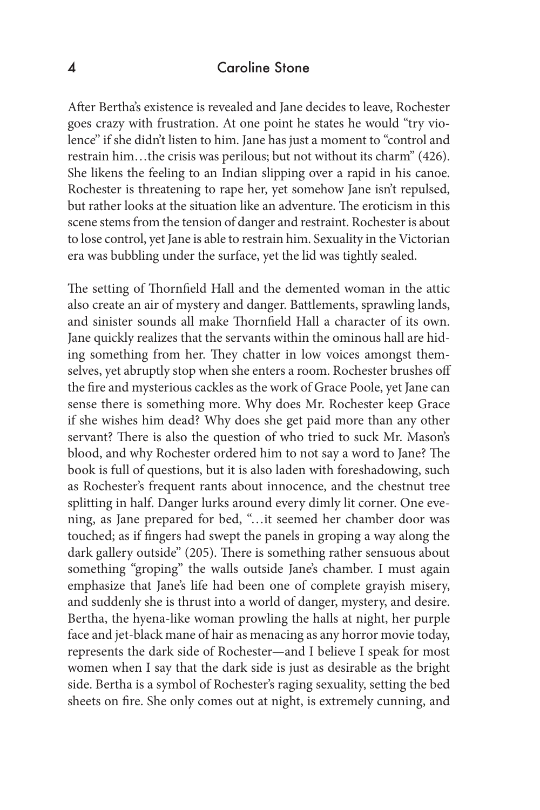### 4 Caroline Stone

After Bertha's existence is revealed and Jane decides to leave, Rochester goes crazy with frustration. At one point he states he would "try violence" if she didn't listen to him. Jane has just a moment to "control and restrain him…the crisis was perilous; but not without its charm" (426). She likens the feeling to an Indian slipping over a rapid in his canoe. Rochester is threatening to rape her, yet somehow Jane isn't repulsed, but rather looks at the situation like an adventure. The eroticism in this scene stems from the tension of danger and restraint. Rochester is about to lose control, yet Jane is able to restrain him. Sexuality in the Victorian era was bubbling under the surface, yet the lid was tightly sealed.

The setting of Thornfield Hall and the demented woman in the attic also create an air of mystery and danger. Battlements, sprawling lands, and sinister sounds all make Thornfield Hall a character of its own. Jane quickly realizes that the servants within the ominous hall are hiding something from her. They chatter in low voices amongst themselves, yet abruptly stop when she enters a room. Rochester brushes off the fire and mysterious cackles as the work of Grace Poole, yet Jane can sense there is something more. Why does Mr. Rochester keep Grace if she wishes him dead? Why does she get paid more than any other servant? There is also the question of who tried to suck Mr. Mason's blood, and why Rochester ordered him to not say a word to Jane? The book is full of questions, but it is also laden with foreshadowing, such as Rochester's frequent rants about innocence, and the chestnut tree splitting in half. Danger lurks around every dimly lit corner. One evening, as Jane prepared for bed, "…it seemed her chamber door was touched; as if fingers had swept the panels in groping a way along the dark gallery outside" (205). There is something rather sensuous about something "groping" the walls outside Jane's chamber. I must again emphasize that Jane's life had been one of complete grayish misery, and suddenly she is thrust into a world of danger, mystery, and desire. Bertha, the hyena-like woman prowling the halls at night, her purple face and jet-black mane of hair as menacing as any horror movie today, represents the dark side of Rochester—and I believe I speak for most women when I say that the dark side is just as desirable as the bright side. Bertha is a symbol of Rochester's raging sexuality, setting the bed sheets on fire. She only comes out at night, is extremely cunning, and